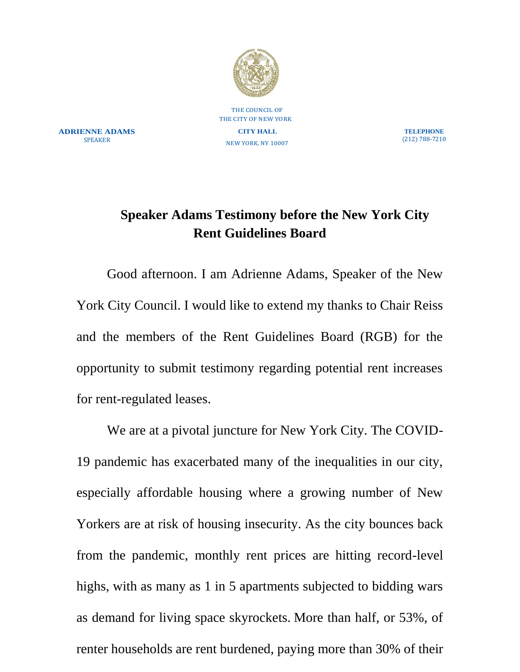

THE COUNCIL OF THE CITY OF NEW YORK **CITY HALL** NEW YORK, NY 10007

**ADRIENNE ADAMS** SPEAKER

**TELEPHONE** (212) 788-7210

## **Speaker Adams Testimony before the New York City Rent Guidelines Board**

Good afternoon. I am Adrienne Adams, Speaker of the New York City Council. I would like to extend my thanks to Chair Reiss and the members of the Rent Guidelines Board (RGB) for the opportunity to submit testimony regarding potential rent increases for rent-regulated leases.

We are at a pivotal juncture for New York City. The COVID-19 pandemic has exacerbated many of the inequalities in our city, especially affordable housing where a growing number of New Yorkers are at risk of housing insecurity. As the city bounces back from the pandemic, monthly rent prices are hitting record-level highs, with as many as 1 in 5 apartments subjected to bidding wars as demand for living space skyrockets. More than half, or 53%, of renter households are rent burdened, paying more than 30% of their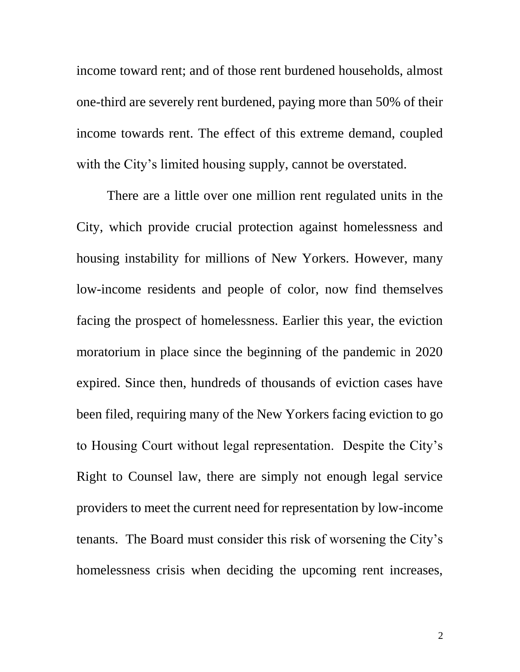income toward rent; and of those rent burdened households, almost one-third are severely rent burdened, paying more than 50% of their income towards rent. The effect of this extreme demand, coupled with the City's limited housing supply, cannot be overstated.

There are a little over one million rent regulated units in the City, which provide crucial protection against homelessness and housing instability for millions of New Yorkers. However, many low-income residents and people of color, now find themselves facing the prospect of homelessness. Earlier this year, the eviction moratorium in place since the beginning of the pandemic in 2020 expired. Since then, hundreds of thousands of eviction cases have been filed, requiring many of the New Yorkers facing eviction to go to Housing Court without legal representation. Despite the City's Right to Counsel law, there are simply not enough legal service providers to meet the current need for representation by low-income tenants. The Board must consider this risk of worsening the City's homelessness crisis when deciding the upcoming rent increases,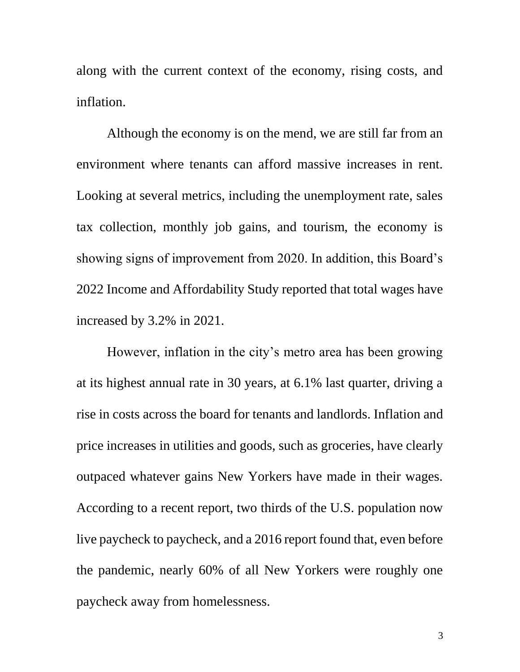along with the current context of the economy, rising costs, and inflation.

Although the economy is on the mend, we are still far from an environment where tenants can afford massive increases in rent. Looking at several metrics, including the unemployment rate, sales tax collection, monthly job gains, and tourism, the economy is showing signs of improvement from 2020. In addition, this Board's 2022 Income and Affordability Study reported that total wages have increased by 3.2% in 2021.

However, inflation in the city's metro area has been growing at its highest annual rate in 30 years, at 6.1% last quarter, driving a rise in costs across the board for tenants and landlords. Inflation and price increases in utilities and goods, such as groceries, have clearly outpaced whatever gains New Yorkers have made in their wages. According to a recent report, two thirds of the U.S. population now live paycheck to paycheck, and a 2016 report found that, even before the pandemic, nearly 60% of all New Yorkers were roughly one paycheck away from homelessness.

3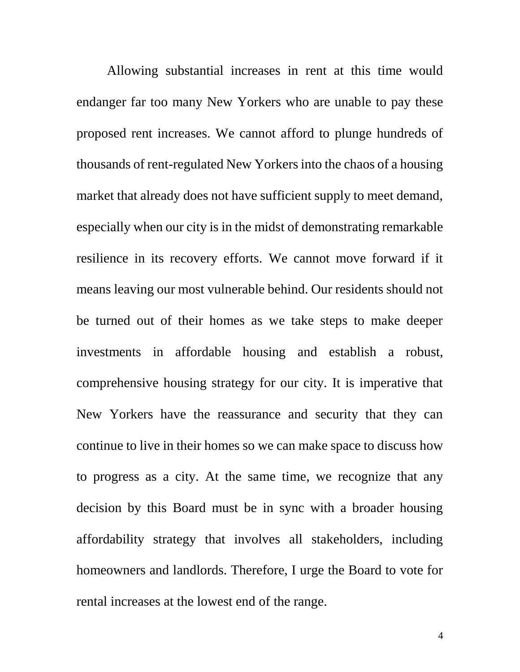Allowing substantial increases in rent at this time would endanger far too many New Yorkers who are unable to pay these proposed rent increases. We cannot afford to plunge hundreds of thousands of rent-regulated New Yorkers into the chaos of a housing market that already does not have sufficient supply to meet demand, especially when our city is in the midst of demonstrating remarkable resilience in its recovery efforts. We cannot move forward if it means leaving our most vulnerable behind. Our residents should not be turned out of their homes as we take steps to make deeper investments in affordable housing and establish a robust, comprehensive housing strategy for our city. It is imperative that New Yorkers have the reassurance and security that they can continue to live in their homes so we can make space to discuss how to progress as a city. At the same time, we recognize that any decision by this Board must be in sync with a broader housing affordability strategy that involves all stakeholders, including homeowners and landlords. Therefore, I urge the Board to vote for rental increases at the lowest end of the range.